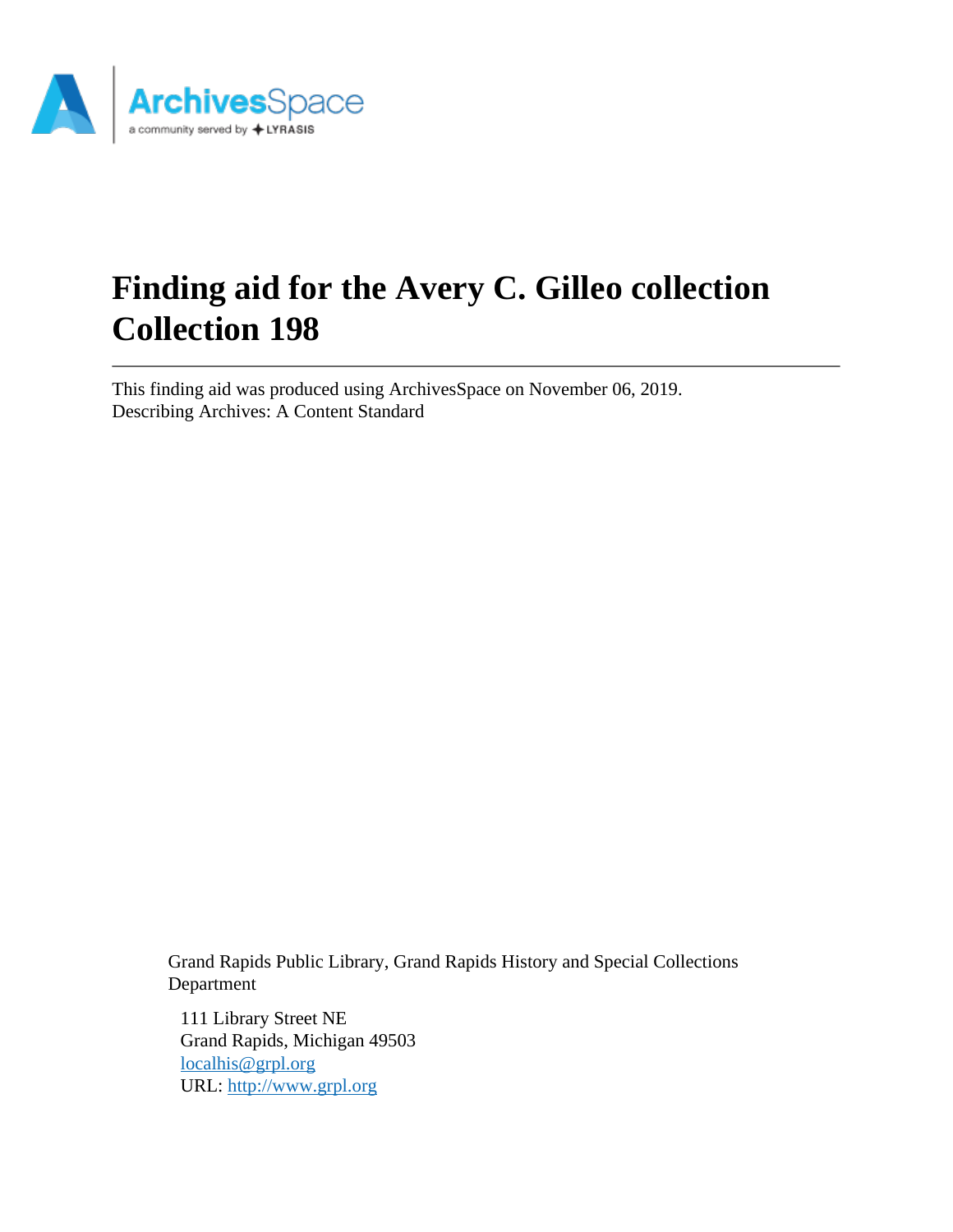

# **Finding aid for the Avery C. Gilleo collection Collection 198**

This finding aid was produced using ArchivesSpace on November 06, 2019. Describing Archives: A Content Standard

Grand Rapids Public Library, Grand Rapids History and Special Collections Department

111 Library Street NE Grand Rapids, Michigan 49503 [localhis@grpl.org](mailto:localhis@grpl.org) URL:<http://www.grpl.org>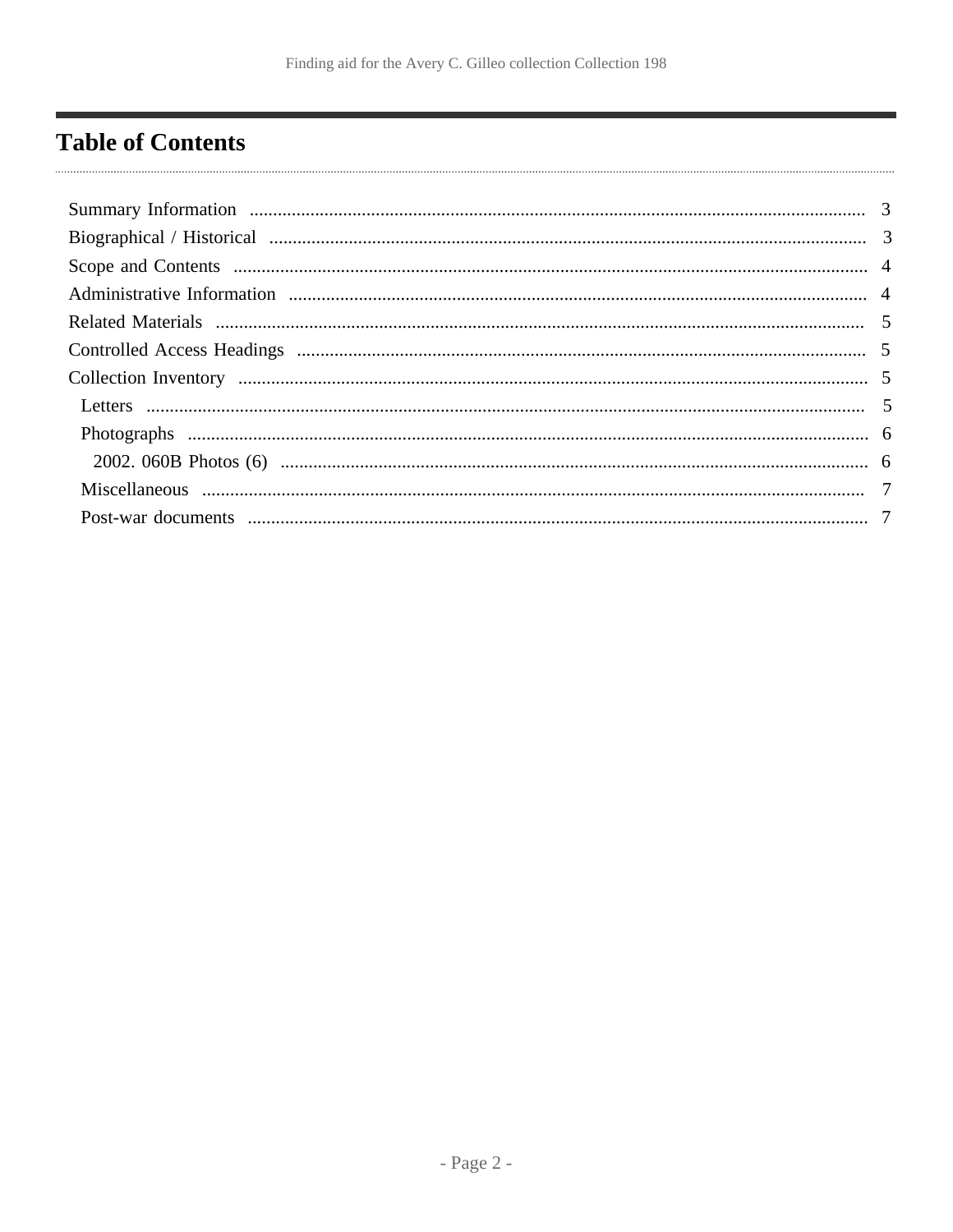# <span id="page-1-0"></span>**Table of Contents**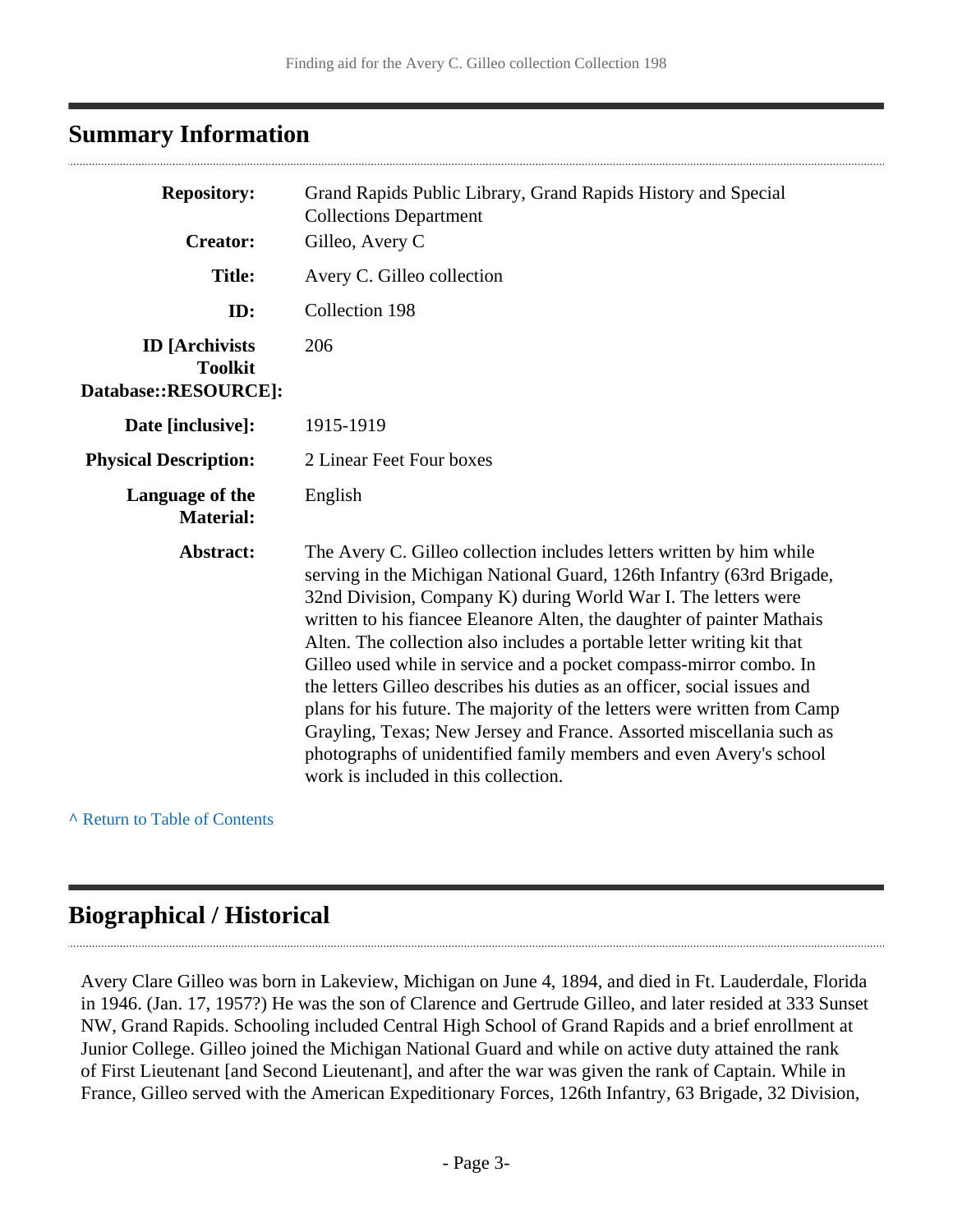### <span id="page-2-0"></span>**Summary Information**

| <b>Repository:</b>                                              | Grand Rapids Public Library, Grand Rapids History and Special<br><b>Collections Department</b>                                                                                                                                                                                                                                                                                                                                                                                                                                                                                                                                                                                                                                                                                          |
|-----------------------------------------------------------------|-----------------------------------------------------------------------------------------------------------------------------------------------------------------------------------------------------------------------------------------------------------------------------------------------------------------------------------------------------------------------------------------------------------------------------------------------------------------------------------------------------------------------------------------------------------------------------------------------------------------------------------------------------------------------------------------------------------------------------------------------------------------------------------------|
| <b>Creator:</b>                                                 | Gilleo, Avery C                                                                                                                                                                                                                                                                                                                                                                                                                                                                                                                                                                                                                                                                                                                                                                         |
| <b>Title:</b>                                                   | Avery C. Gilleo collection                                                                                                                                                                                                                                                                                                                                                                                                                                                                                                                                                                                                                                                                                                                                                              |
| ID:                                                             | Collection 198                                                                                                                                                                                                                                                                                                                                                                                                                                                                                                                                                                                                                                                                                                                                                                          |
| <b>ID</b> [Archivists<br><b>Toolkit</b><br>Database::RESOURCE]: | 206                                                                                                                                                                                                                                                                                                                                                                                                                                                                                                                                                                                                                                                                                                                                                                                     |
| Date [inclusive]:                                               | 1915-1919                                                                                                                                                                                                                                                                                                                                                                                                                                                                                                                                                                                                                                                                                                                                                                               |
| <b>Physical Description:</b>                                    | 2 Linear Feet Four boxes                                                                                                                                                                                                                                                                                                                                                                                                                                                                                                                                                                                                                                                                                                                                                                |
| Language of the<br><b>Material:</b>                             | English                                                                                                                                                                                                                                                                                                                                                                                                                                                                                                                                                                                                                                                                                                                                                                                 |
| Abstract:                                                       | The Avery C. Gilleo collection includes letters written by him while<br>serving in the Michigan National Guard, 126th Infantry (63rd Brigade,<br>32nd Division, Company K) during World War I. The letters were<br>written to his fiancee Eleanore Alten, the daughter of painter Mathais<br>Alten. The collection also includes a portable letter writing kit that<br>Gilleo used while in service and a pocket compass-mirror combo. In<br>the letters Gilleo describes his duties as an officer, social issues and<br>plans for his future. The majority of the letters were written from Camp<br>Grayling, Texas; New Jersey and France. Assorted miscellania such as<br>photographs of unidentified family members and even Avery's school<br>work is included in this collection. |

**^** [Return to Table of Contents](#page-1-0)

# <span id="page-2-1"></span>**Biographical / Historical**

Avery Clare Gilleo was born in Lakeview, Michigan on June 4, 1894, and died in Ft. Lauderdale, Florida in 1946. (Jan. 17, 1957?) He was the son of Clarence and Gertrude Gilleo, and later resided at 333 Sunset NW, Grand Rapids. Schooling included Central High School of Grand Rapids and a brief enrollment at Junior College. Gilleo joined the Michigan National Guard and while on active duty attained the rank of First Lieutenant [and Second Lieutenant], and after the war was given the rank of Captain. While in France, Gilleo served with the American Expeditionary Forces, 126th Infantry, 63 Brigade, 32 Division,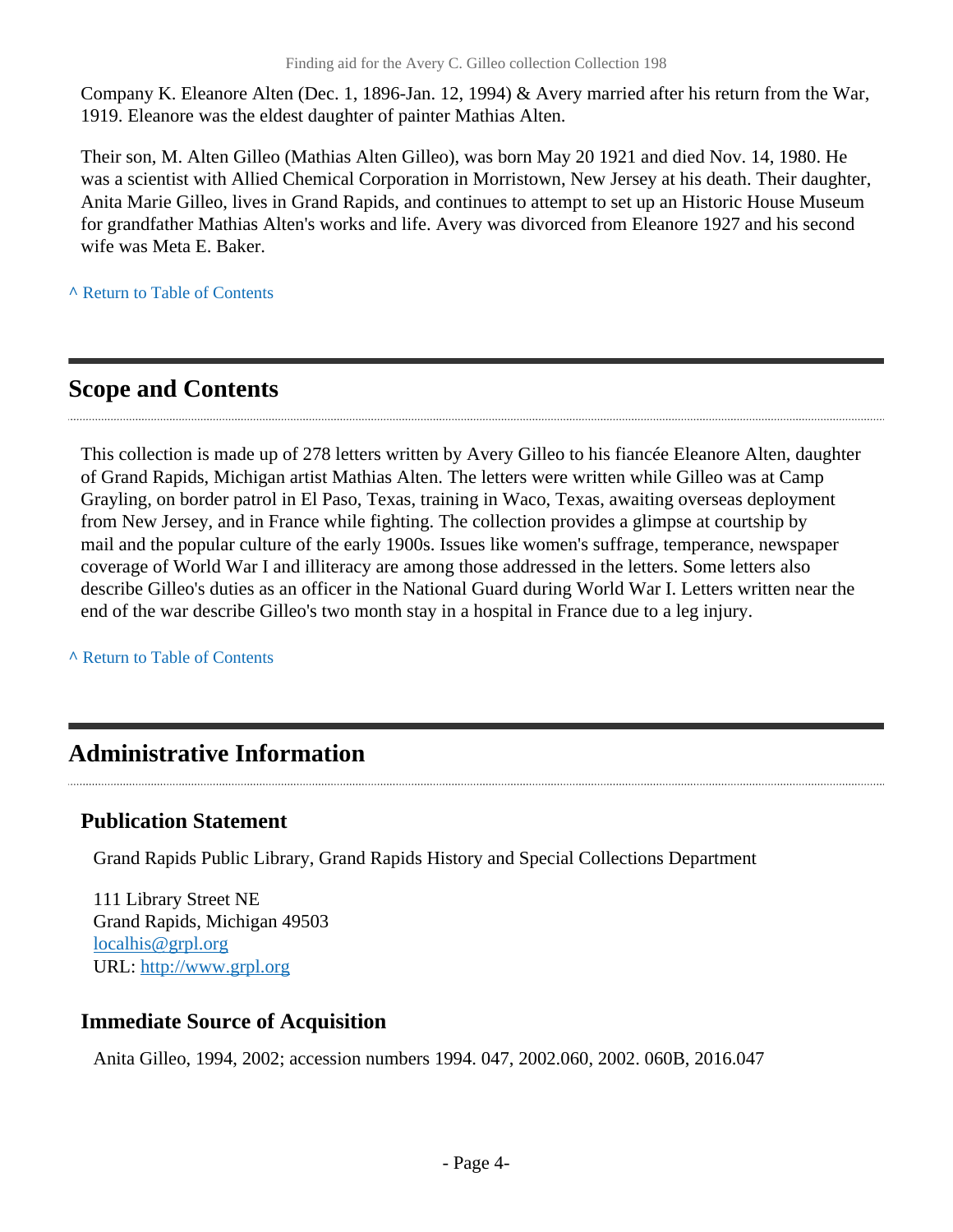Company K. Eleanore Alten (Dec. 1, 1896-Jan. 12, 1994) & Avery married after his return from the War, 1919. Eleanore was the eldest daughter of painter Mathias Alten.

Their son, M. Alten Gilleo (Mathias Alten Gilleo), was born May 20 1921 and died Nov. 14, 1980. He was a scientist with Allied Chemical Corporation in Morristown, New Jersey at his death. Their daughter, Anita Marie Gilleo, lives in Grand Rapids, and continues to attempt to set up an Historic House Museum for grandfather Mathias Alten's works and life. Avery was divorced from Eleanore 1927 and his second wife was Meta E. Baker.

**^** [Return to Table of Contents](#page-1-0)

# <span id="page-3-0"></span>**Scope and Contents**

This collection is made up of 278 letters written by Avery Gilleo to his fiancée Eleanore Alten, daughter of Grand Rapids, Michigan artist Mathias Alten. The letters were written while Gilleo was at Camp Grayling, on border patrol in El Paso, Texas, training in Waco, Texas, awaiting overseas deployment from New Jersey, and in France while fighting. The collection provides a glimpse at courtship by mail and the popular culture of the early 1900s. Issues like women's suffrage, temperance, newspaper coverage of World War I and illiteracy are among those addressed in the letters. Some letters also describe Gilleo's duties as an officer in the National Guard during World War I. Letters written near the end of the war describe Gilleo's two month stay in a hospital in France due to a leg injury.

**^** [Return to Table of Contents](#page-1-0)

# <span id="page-3-1"></span>**Administrative Information**

### **Publication Statement**

Grand Rapids Public Library, Grand Rapids History and Special Collections Department

111 Library Street NE Grand Rapids, Michigan 49503 [localhis@grpl.org](mailto:localhis@grpl.org) URL:<http://www.grpl.org>

### **Immediate Source of Acquisition**

Anita Gilleo, 1994, 2002; accession numbers 1994. 047, 2002.060, 2002. 060B, 2016.047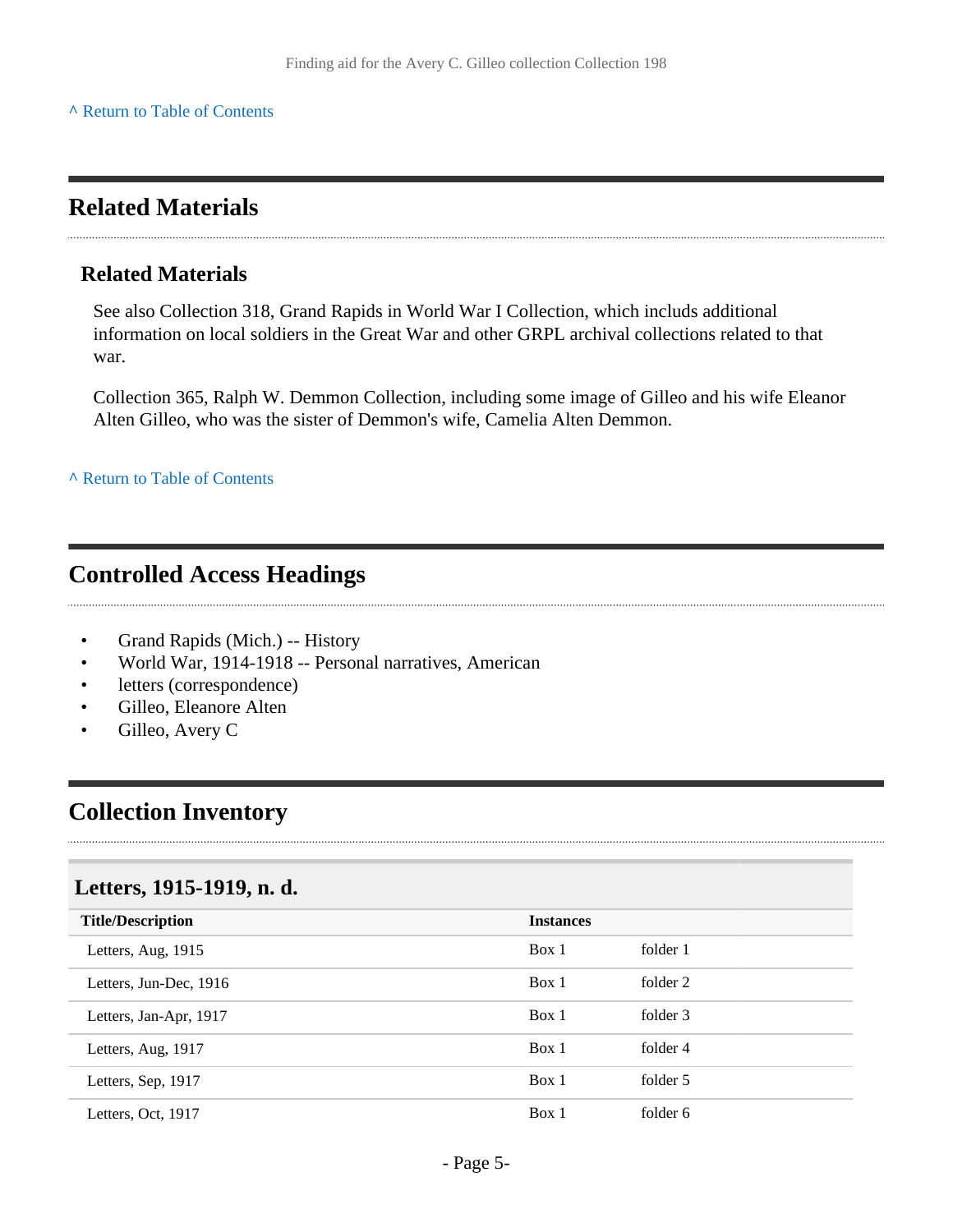### <span id="page-4-0"></span>**Related Materials**

#### **Related Materials**

See also Collection 318, Grand Rapids in World War I Collection, which includs additional information on local soldiers in the Great War and other GRPL archival collections related to that war.

Collection 365, Ralph W. Demmon Collection, including some image of Gilleo and his wife Eleanor Alten Gilleo, who was the sister of Demmon's wife, Camelia Alten Demmon.

**^** [Return to Table of Contents](#page-1-0)

### <span id="page-4-1"></span>**Controlled Access Headings**

- Grand Rapids (Mich.) -- History
- World War, 1914-1918 -- Personal narratives, American
- letters (correspondence)
- Gilleo, Eleanore Alten
- Gilleo, Avery C

### <span id="page-4-2"></span>**Collection Inventory**

#### <span id="page-4-3"></span>**Letters, 1915-1919, n. d.**

| <b>Title/Description</b> | <b>Instances</b> |          |
|--------------------------|------------------|----------|
| Letters, Aug, 1915       | Box 1            | folder 1 |
| Letters, Jun-Dec, 1916   | Box 1            | folder 2 |
| Letters, Jan-Apr, 1917   | Box 1            | folder 3 |
| Letters, Aug, 1917       | Box 1            | folder 4 |
| Letters, Sep, 1917       | Box 1            | folder 5 |
| Letters, Oct, 1917       | Box 1            | folder 6 |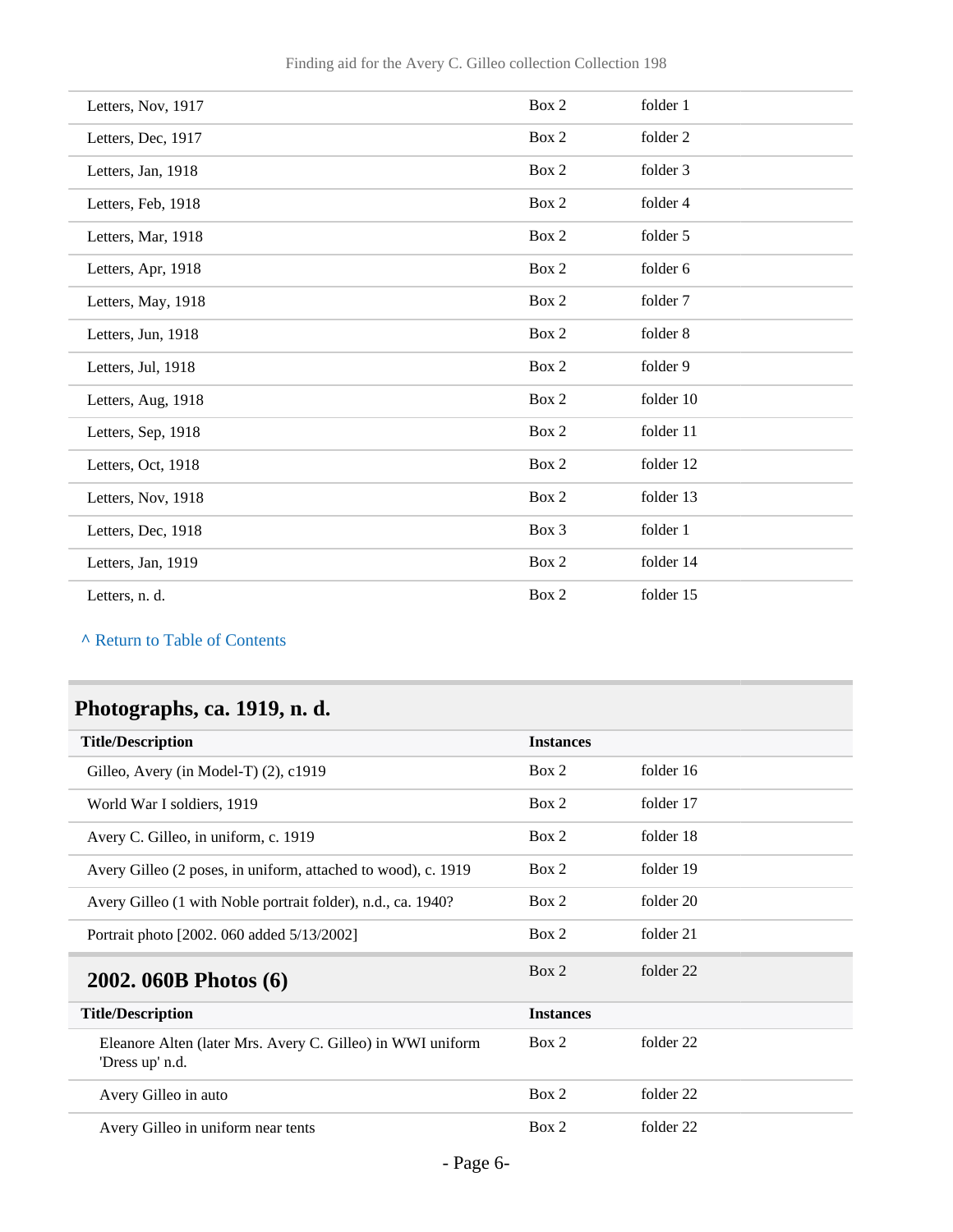| Box 2 | folder 1  |
|-------|-----------|
| Box 2 | folder 2  |
| Box 2 | folder 3  |
| Box 2 | folder 4  |
| Box 2 | folder 5  |
| Box 2 | folder 6  |
| Box 2 | folder 7  |
| Box 2 | folder 8  |
| Box 2 | folder 9  |
| Box 2 | folder 10 |
| Box 2 | folder 11 |
| Box 2 | folder 12 |
| Box 2 | folder 13 |
|       |           |
| Box 3 | folder 1  |
| Box 2 | folder 14 |
|       |           |

# <span id="page-5-0"></span>**Photographs, ca. 1919, n. d.**

<span id="page-5-1"></span>

| <b>Title/Description</b>                                                      | <b>Instances</b> |           |
|-------------------------------------------------------------------------------|------------------|-----------|
| Gilleo, Avery (in Model-T) $(2)$ , c1919                                      | Box 2            | folder 16 |
| World War I soldiers, 1919                                                    | Box 2            | folder 17 |
| Avery C. Gilleo, in uniform, c. 1919                                          | Box 2            | folder 18 |
| Avery Gilleo (2 poses, in uniform, attached to wood), c. 1919                 | Box 2            | folder 19 |
| Avery Gilleo (1 with Noble portrait folder), n.d., ca. 1940?                  | Box 2            | folder 20 |
| Portrait photo [2002. 060 added 5/13/2002]                                    | Box 2            | folder 21 |
| 2002. 060B Photos (6)                                                         | Box 2            | folder 22 |
| <b>Title/Description</b>                                                      | <b>Instances</b> |           |
| Eleanore Alten (later Mrs. Avery C. Gilleo) in WWI uniform<br>'Dress up' n.d. | Box 2            | folder 22 |
| Avery Gilleo in auto                                                          | Box 2            | folder 22 |
| Avery Gilleo in uniform near tents                                            | Box 2            | folder 22 |